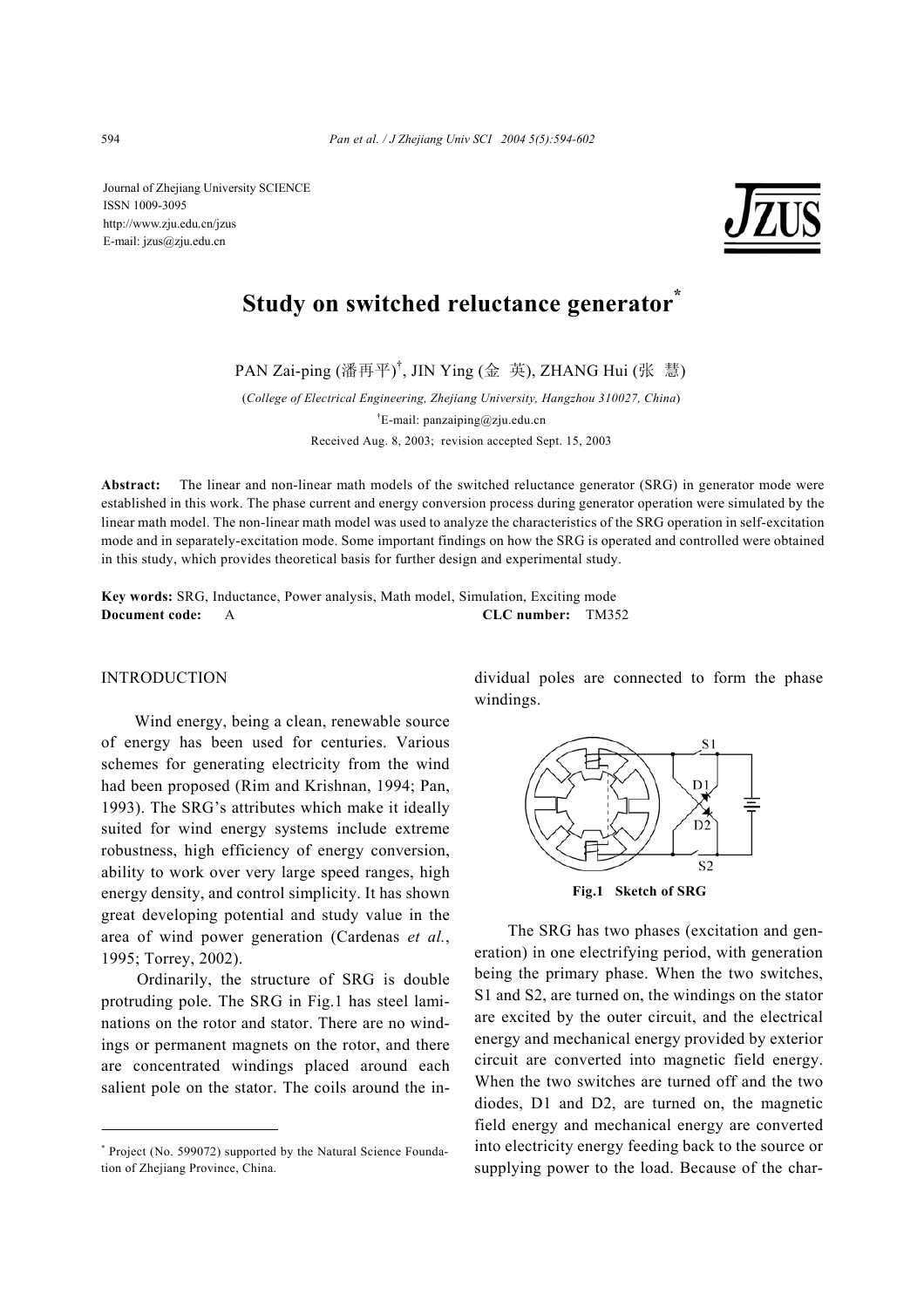Journal of Zhejiang University SCIENCE ISSN 1009-3095 http://www.zju.edu.cn/jzus E-mail: jzus@zju.edu.cn



# **Study on switched reluctance generator\***

PAN Zai-ping (潘再平) † , JIN Ying (金 英), ZHANG Hui (张 慧)

(*College of Electrical Engineering, Zhejiang University, Hangzhou 310027, China*) † E-mail: panzaiping@zju.edu.cn Received Aug. 8, 2003; revision accepted Sept. 15, 2003

**Abstract:** The linear and non-linear math models of the switched reluctance generator (SRG) in generator mode were established in this work. The phase current and energy conversion process during generator operation were simulated by the linear math model. The non-linear math model was used to analyze the characteristics of the SRG operation in self-excitation mode and in separately-excitation mode. Some important findings on how the SRG is operated and controlled were obtained in this study, which provides theoretical basis for further design and experimental study.

**Key words:** SRG, Inductance, Power analysis, Math model, Simulation, Exciting mode **Document code:** A **CLC number:** TM352

# INTRODUCTION

Wind energy, being a clean, renewable source of energy has been used for centuries. Various schemes for generating electricity from the wind had been proposed (Rim and Krishnan, 1994; Pan, 1993). The SRG's attributes which make it ideally suited for wind energy systems include extreme robustness, high efficiency of energy conversion, ability to work over very large speed ranges, high energy density, and control simplicity. It has shown great developing potential and study value in the area of wind power generation (Cardenas *et al.*, 1995; Torrey, 2002).

Ordinarily, the structure of SRG is double protruding pole. The SRG in Fig.1 has steel laminations on the rotor and stator. There are no windings or permanent magnets on the rotor, and there are concentrated windings placed around each salient pole on the stator. The coils around the individual poles are connected to form the phase windings.



**Fig.1 Sketch of SRG** 

The SRG has two phases (excitation and generation) in one electrifying period, with generation being the primary phase. When the two switches, S1 and S2, are turned on, the windings on the stator are excited by the outer circuit, and the electrical energy and mechanical energy provided by exterior circuit are converted into magnetic field energy. When the two switches are turned off and the two diodes, D1 and D2, are turned on, the magnetic field energy and mechanical energy are converted into electricity energy feeding back to the source or supplying power to the load. Because of the char-

<sup>\*</sup> Project (No. 599072) supported by the Natural Science Foundation of Zhejiang Province, China.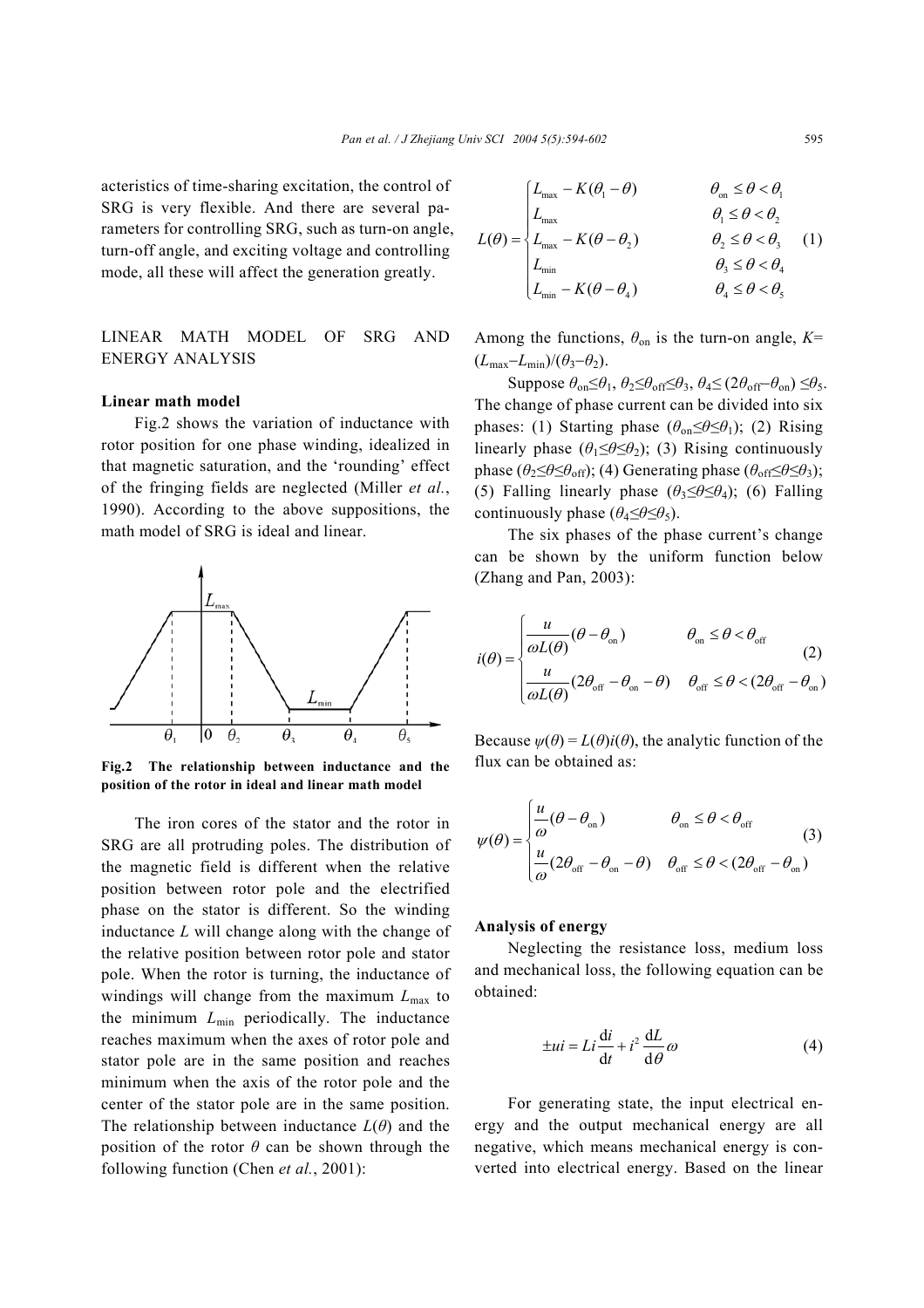acteristics of time-sharing excitation, the control of SRG is very flexible. And there are several parameters for controlling SRG, such as turn-on angle, turn-off angle, and exciting voltage and controlling mode, all these will affect the generation greatly.

LINEAR MATH MODEL OF SRG AND ENERGY ANALYSIS

## **Linear math model**

Fig.2 shows the variation of inductance with rotor position for one phase winding, idealized in that magnetic saturation, and the 'rounding' effect of the fringing fields are neglected (Miller *et al.*, 1990). According to the above suppositions, the math model of SRG is ideal and linear.



**Fig.2 The relationship between inductance and the position of the rotor in ideal and linear math model** 

The iron cores of the stator and the rotor in SRG are all protruding poles. The distribution of the magnetic field is different when the relative position between rotor pole and the electrified phase on the stator is different. So the winding inductance *L* will change along with the change of the relative position between rotor pole and stator pole. When the rotor is turning, the inductance of windings will change from the maximum *L*max to the minimum *L*min periodically. The inductance reaches maximum when the axes of rotor pole and stator pole are in the same position and reaches minimum when the axis of the rotor pole and the center of the stator pole are in the same position. The relationship between inductance  $L(\theta)$  and the position of the rotor  $\theta$  can be shown through the following function (Chen *et al.*, 2001):

$$
L(\theta) = \begin{cases} L_{\text{max}} - K(\theta_1 - \theta) & \theta_{\text{on}} \leq \theta < \theta_1 \\ L_{\text{max}} & \theta_1 \leq \theta < \theta_2 \\ L_{\text{max}} - K(\theta - \theta_2) & \theta_2 \leq \theta < \theta_3 \\ L_{\text{min}} & \theta_3 \leq \theta < \theta_4 \\ L_{\text{min}} - K(\theta - \theta_4) & \theta_4 \leq \theta < \theta_5 \end{cases}
$$
 (1)

Among the functions,  $\theta_{\text{on}}$  is the turn-on angle,  $K=$  $(L_{\text{max}}-L_{\text{min}})/(\theta_3-\theta_2).$ 

Suppose *θ*on≤*θ*1, *θ*2*≤θ*off*≤θ*3, *θ*4*≤* (2*θ*off−*θ*on) *≤θ*5. The change of phase current can be divided into six phases: (1) Starting phase (*θ*on*≤θ≤θ*1); (2) Rising linearly phase  $(\theta_1 \leq \theta \leq \theta_2)$ ; (3) Rising continuously phase ( $\theta_2 \leq \theta \leq \theta_{\rm off}$ ); (4) Generating phase ( $\theta_{\rm off} \leq \theta \leq \theta_3$ ); (5) Falling linearly phase  $(\theta_3 \leq \theta \leq \theta_4)$ ; (6) Falling continuously phase  $(\theta_4 \leq \theta \leq \theta_5)$ .

The six phases of the phase current's change can be shown by the uniform function below (Zhang and Pan, 2003):

$$
i(\theta) = \begin{cases} \frac{u}{\omega L(\theta)} (\theta - \theta_{\text{on}}) & \theta_{\text{on}} \leq \theta < \theta_{\text{off}} \\ \frac{u}{\omega L(\theta)} (2\theta_{\text{off}} - \theta_{\text{on}} - \theta) & \theta_{\text{off}} \leq \theta < (2\theta_{\text{off}} - \theta_{\text{on}}) \end{cases}
$$
(2)

Because  $\psi(\theta) = L(\theta)i(\theta)$ , the analytic function of the flux can be obtained as:

$$
\psi(\theta) = \begin{cases} \frac{u}{\omega}(\theta - \theta_{\text{on}}) & \theta_{\text{on}} \leq \theta < \theta_{\text{off}} \\ \frac{u}{\omega}(2\theta_{\text{off}} - \theta_{\text{on}} - \theta) & \theta_{\text{off}} \leq \theta < (2\theta_{\text{off}} - \theta_{\text{on}}) \end{cases}
$$
(3)

## **Analysis of energy**

Neglecting the resistance loss, medium loss and mechanical loss, the following equation can be obtained:

$$
\pm ui = Li\frac{di}{dt} + i^2 \frac{dL}{d\theta}\omega
$$
 (4)

For generating state, the input electrical energy and the output mechanical energy are all negative, which means mechanical energy is converted into electrical energy. Based on the linear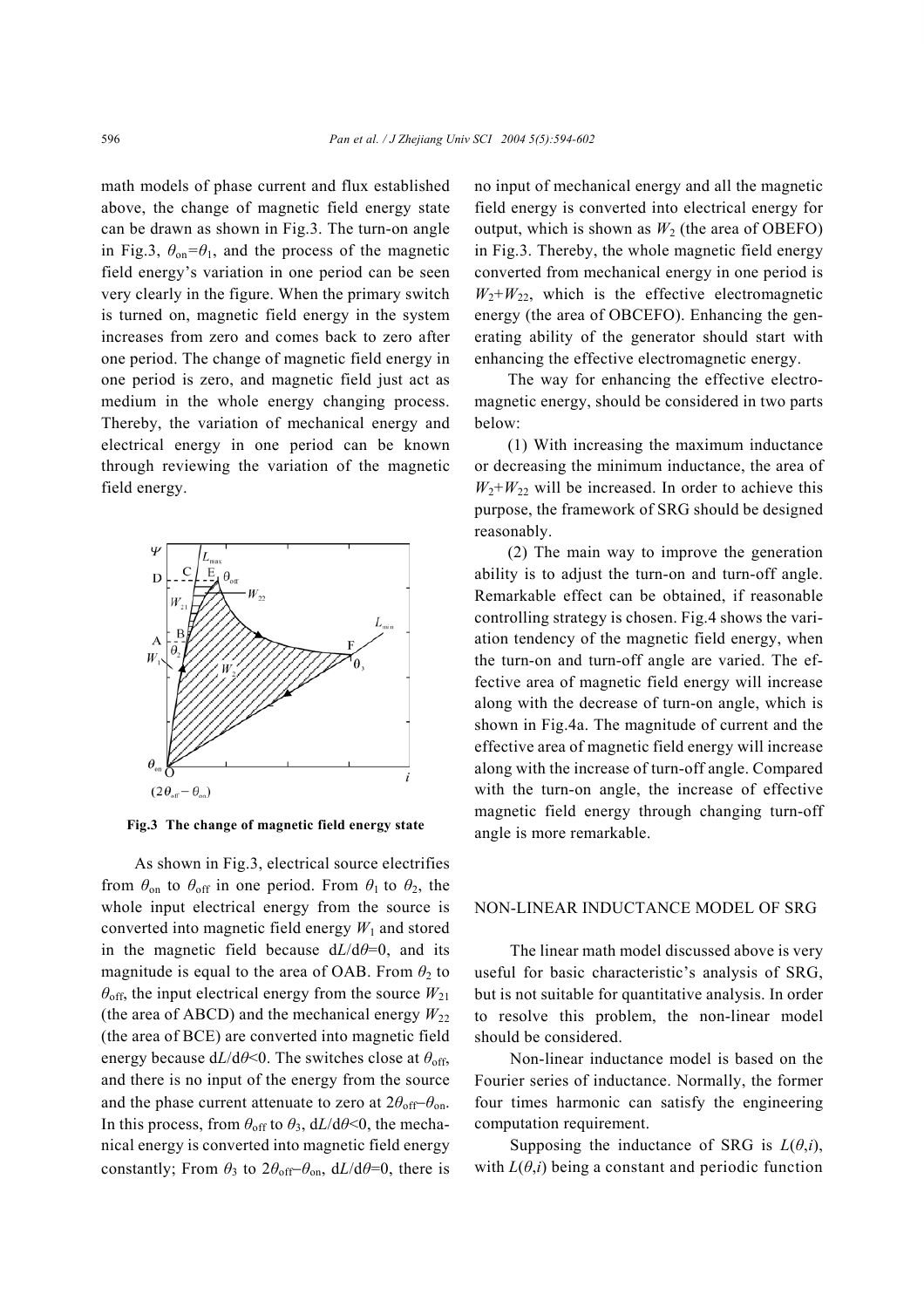math models of phase current and flux established above, the change of magnetic field energy state can be drawn as shown in Fig.3. The turn-on angle in Fig.3,  $\theta_{\text{on}} = \theta_1$ , and the process of the magnetic field energy's variation in one period can be seen very clearly in the figure. When the primary switch is turned on, magnetic field energy in the system increases from zero and comes back to zero after one period. The change of magnetic field energy in one period is zero, and magnetic field just act as medium in the whole energy changing process. Thereby, the variation of mechanical energy and electrical energy in one period can be known through reviewing the variation of the magnetic field energy.



**Fig.3 The change of magnetic field energy state**

As shown in Fig.3, electrical source electrifies from  $\theta_{\text{on}}$  to  $\theta_{\text{off}}$  in one period. From  $\theta_1$  to  $\theta_2$ , the whole input electrical energy from the source is converted into magnetic field energy  $W_1$  and stored in the magnetic field because  $dL/d\theta=0$ , and its magnitude is equal to the area of OAB. From  $\theta_2$  to  $\theta_{\text{off}}$ , the input electrical energy from the source  $W_{21}$ (the area of ABCD) and the mechanical energy  $W_{22}$ (the area of BCE) are converted into magnetic field energy because  $dL/d\theta \le 0$ . The switches close at  $\theta_{\text{off}}$ , and there is no input of the energy from the source and the phase current attenuate to zero at  $2\theta_{off}$ − $\theta_{on}$ . In this process, from  $\theta_{\text{off}}$  to  $\theta_3$ ,  $dL/d\theta \le 0$ , the mechanical energy is converted into magnetic field energy constantly; From  $\theta_3$  to  $2\theta_{\text{off}}-\theta_{\text{on}}$ ,  $dL/d\theta=0$ , there is no input of mechanical energy and all the magnetic field energy is converted into electrical energy for output, which is shown as  $W_2$  (the area of OBEFO) in Fig.3. Thereby, the whole magnetic field energy converted from mechanical energy in one period is  $W_2+W_2$ , which is the effective electromagnetic energy (the area of OBCEFO). Enhancing the generating ability of the generator should start with enhancing the effective electromagnetic energy.

The way for enhancing the effective electromagnetic energy, should be considered in two parts below:

(1) With increasing the maximum inductance or decreasing the minimum inductance, the area of  $W_2+W_2$  will be increased. In order to achieve this purpose, the framework of SRG should be designed reasonably.

(2) The main way to improve the generation ability is to adjust the turn-on and turn-off angle. Remarkable effect can be obtained, if reasonable controlling strategy is chosen. Fig.4 shows the variation tendency of the magnetic field energy, when the turn-on and turn-off angle are varied. The effective area of magnetic field energy will increase along with the decrease of turn-on angle, which is shown in Fig.4a. The magnitude of current and the effective area of magnetic field energy will increase along with the increase of turn-off angle. Compared with the turn-on angle, the increase of effective magnetic field energy through changing turn-off angle is more remarkable.

# NON-LINEAR INDUCTANCE MODEL OF SRG

The linear math model discussed above is very useful for basic characteristic's analysis of SRG, but is not suitable for quantitative analysis. In order to resolve this problem, the non-linear model should be considered.

Non-linear inductance model is based on the Fourier series of inductance. Normally, the former four times harmonic can satisfy the engineering computation requirement.

Supposing the inductance of SRG is  $L(\theta,i)$ , with  $L(\theta, i)$  being a constant and periodic function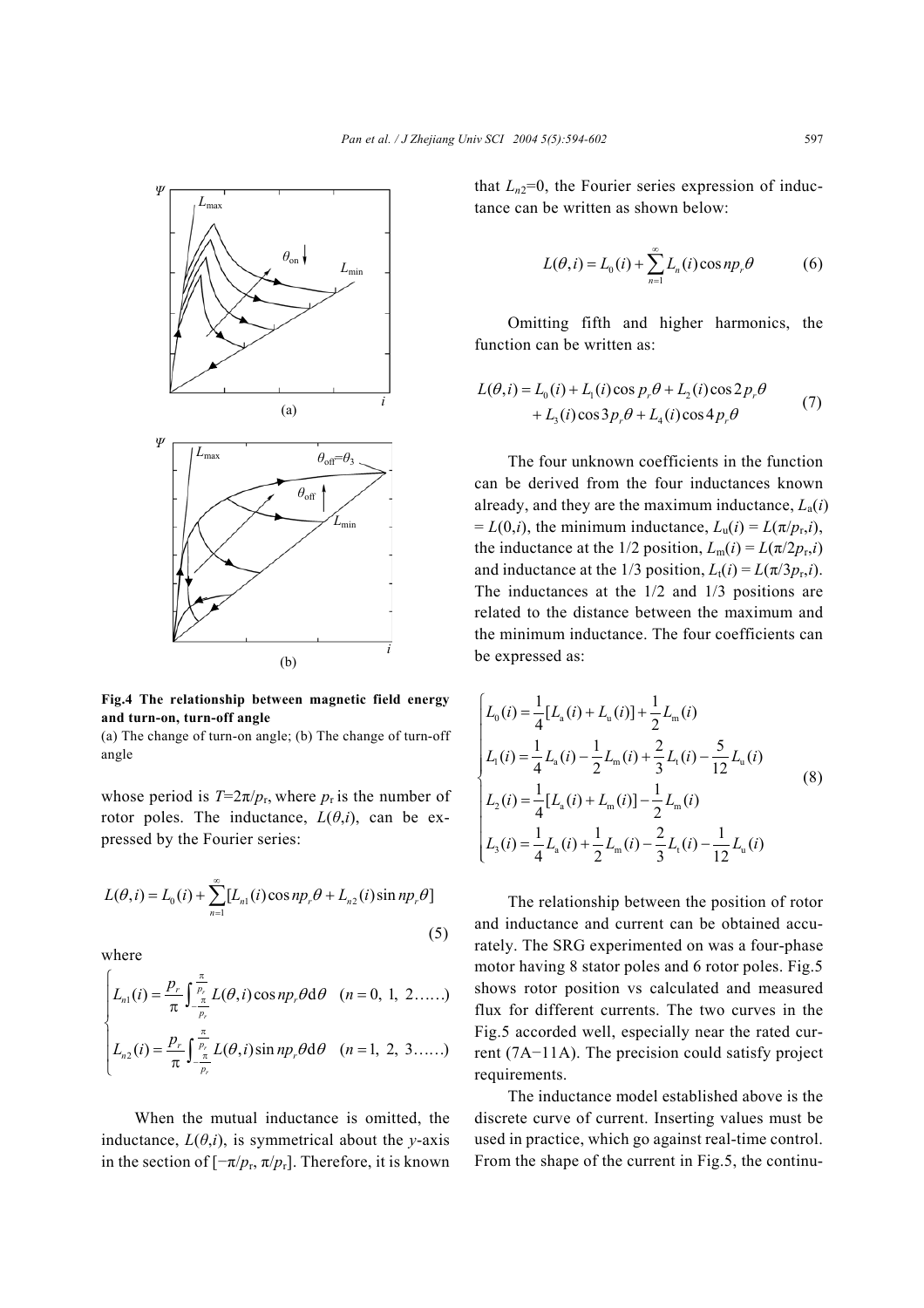

**Fig.4 The relationship between magnetic field energy and turn-on, turn-off angle** 

(a) The change of turn-on angle; (b) The change of turn-off angle

whose period is  $T=2\pi/p_r$ , where  $p_r$  is the number of rotor poles. The inductance,  $L(\theta, i)$ , can be expressed by the Fourier series:

$$
L(\theta, i) = L_0(i) + \sum_{n=1}^{\infty} [L_{n1}(i)\cos np_r \theta + L_{n2}(i)\sin np_r \theta]
$$
\n(5)

where

$$
\begin{cases}\nL_{n1}(i) = \frac{p_r}{\pi} \int_{-\frac{\pi}{p_r}}^{\frac{\pi}{p_r}} L(\theta, i) \cos np_r \theta \, d\theta & (n = 0, 1, 2, \ldots.) \\
L_{n2}(i) = \frac{p_r}{\pi} \int_{-\frac{\pi}{p_r}}^{\frac{\pi}{p_r}} L(\theta, i) \sin np_r \theta \, d\theta & (n = 1, 2, 3, \ldots.)\n\end{cases}
$$

When the mutual inductance is omitted, the inductance,  $L(\theta, i)$ , is symmetrical about the *y*-axis in the section of  $[-\pi/p_r, \pi/p_r]$ . Therefore, it is known that  $L_{n2}=0$ , the Fourier series expression of inductance can be written as shown below:

$$
L(\theta, i) = L_0(i) + \sum_{n=1}^{\infty} L_n(i) \cos np_r \theta
$$
 (6)

Omitting fifth and higher harmonics, the function can be written as:

$$
L(\theta, i) = L_0(i) + L_1(i)\cos p_r \theta + L_2(i)\cos 2p_r \theta
$$
  
+  $L_3(i)\cos 3p_r \theta + L_4(i)\cos 4p_r \theta$  (7)

The four unknown coefficients in the function can be derived from the four inductances known already, and they are the maximum inductance,  $L_a(i)$  $= L(0,i)$ , the minimum inductance,  $L_u(i) = L(\pi/p_r,i)$ , the inductance at the 1/2 position,  $L_m(i) = L(\pi/2p_r,i)$ and inductance at the 1/3 position,  $L_t(i) = L(\pi/3p_{r,i})$ . The inductances at the 1/2 and 1/3 positions are related to the distance between the maximum and the minimum inductance. The four coefficients can be expressed as:

$$
\begin{cases}\nL_0(i) = \frac{1}{4} [L_a(i) + L_u(i)] + \frac{1}{2} L_m(i) \\
L_1(i) = \frac{1}{4} L_a(i) - \frac{1}{2} L_m(i) + \frac{2}{3} L_1(i) - \frac{5}{12} L_u(i) \\
L_2(i) = \frac{1}{4} [L_a(i) + L_m(i)] - \frac{1}{2} L_m(i) \\
L_3(i) = \frac{1}{4} L_a(i) + \frac{1}{2} L_m(i) - \frac{2}{3} L_1(i) - \frac{1}{12} L_u(i)\n\end{cases}
$$
\n(8)

The relationship between the position of rotor and inductance and current can be obtained accurately. The SRG experimented on was a four-phase motor having 8 stator poles and 6 rotor poles. Fig.5 shows rotor position vs calculated and measured flux for different currents. The two curves in the Fig.5 accorded well, especially near the rated current (7A−11A). The precision could satisfy project requirements.

The inductance model established above is the discrete curve of current. Inserting values must be used in practice, which go against real-time control. From the shape of the current in Fig.5, the continu-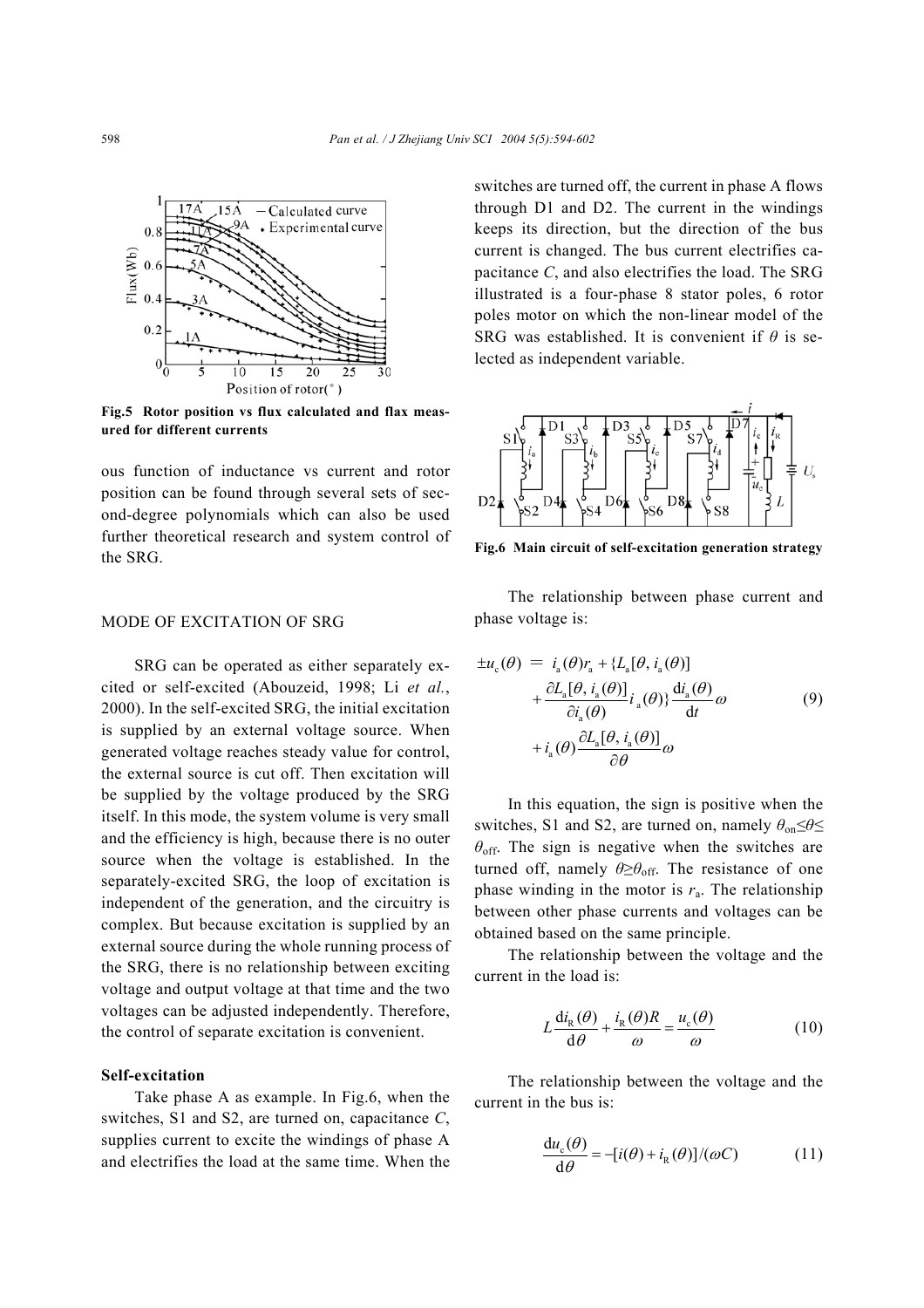

**Fig.5 Rotor position vs flux calculated and flax measured for different currents** 

ous function of inductance vs current and rotor position can be found through several sets of second-degree polynomials which can also be used further theoretical research and system control of the SRG.

## MODE OF EXCITATION OF SRG

SRG can be operated as either separately excited or self-excited (Abouzeid, 1998; Li *et al.*, 2000). In the self-excited SRG, the initial excitation is supplied by an external voltage source. When generated voltage reaches steady value for control, the external source is cut off. Then excitation will be supplied by the voltage produced by the SRG itself. In this mode, the system volume is very small and the efficiency is high, because there is no outer source when the voltage is established. In the separately-excited SRG, the loop of excitation is independent of the generation, and the circuitry is complex. But because excitation is supplied by an external source during the whole running process of the SRG, there is no relationship between exciting voltage and output voltage at that time and the two voltages can be adjusted independently. Therefore, the control of separate excitation is convenient.

#### **Self-excitation**

Take phase A as example. In Fig.6, when the switches, S1 and S2, are turned on, capacitance *C*, supplies current to excite the windings of phase A and electrifies the load at the same time. When the switches are turned off, the current in phase A flows through D1 and D2. The current in the windings keeps its direction, but the direction of the bus current is changed. The bus current electrifies capacitance *C*, and also electrifies the load. The SRG illustrated is a four-phase 8 stator poles, 6 rotor poles motor on which the non-linear model of the SRG was established. It is convenient if *θ* is selected as independent variable.



**Fig.6 Main circuit of self-excitation generation strategy** 

The relationship between phase current and phase voltage is:

$$
\pm u_{c}(\theta) = i_{a}(\theta)r_{a} + \{L_{a}[\theta, i_{a}(\theta)] + \frac{\partial L_{a}[\theta, i_{a}(\theta)]}{\partial i_{a}(\theta)}i_{a}(\theta)\} \frac{di_{a}(\theta)}{dt}\omega + i_{a}(\theta) \frac{\partial L_{a}[\theta, i_{a}(\theta)]}{\partial \theta}\omega
$$
(9)

In this equation, the sign is positive when the switches, S1 and S2, are turned on, namely  $\theta_{on} \leq \theta \leq$  $\theta_{\text{off}}$ . The sign is negative when the switches are turned off, namely  $\theta \geq \theta_{\rm off}$ . The resistance of one phase winding in the motor is  $r_a$ . The relationship between other phase currents and voltages can be obtained based on the same principle.

The relationship between the voltage and the current in the load is:

$$
L\frac{di_{R}(\theta)}{d\theta} + \frac{i_{R}(\theta)R}{\omega} = \frac{u_{c}(\theta)}{\omega}
$$
 (10)

The relationship between the voltage and the current in the bus is:

$$
\frac{du_c(\theta)}{d\theta} = -[i(\theta) + i_R(\theta)]/(\omega C)
$$
 (11)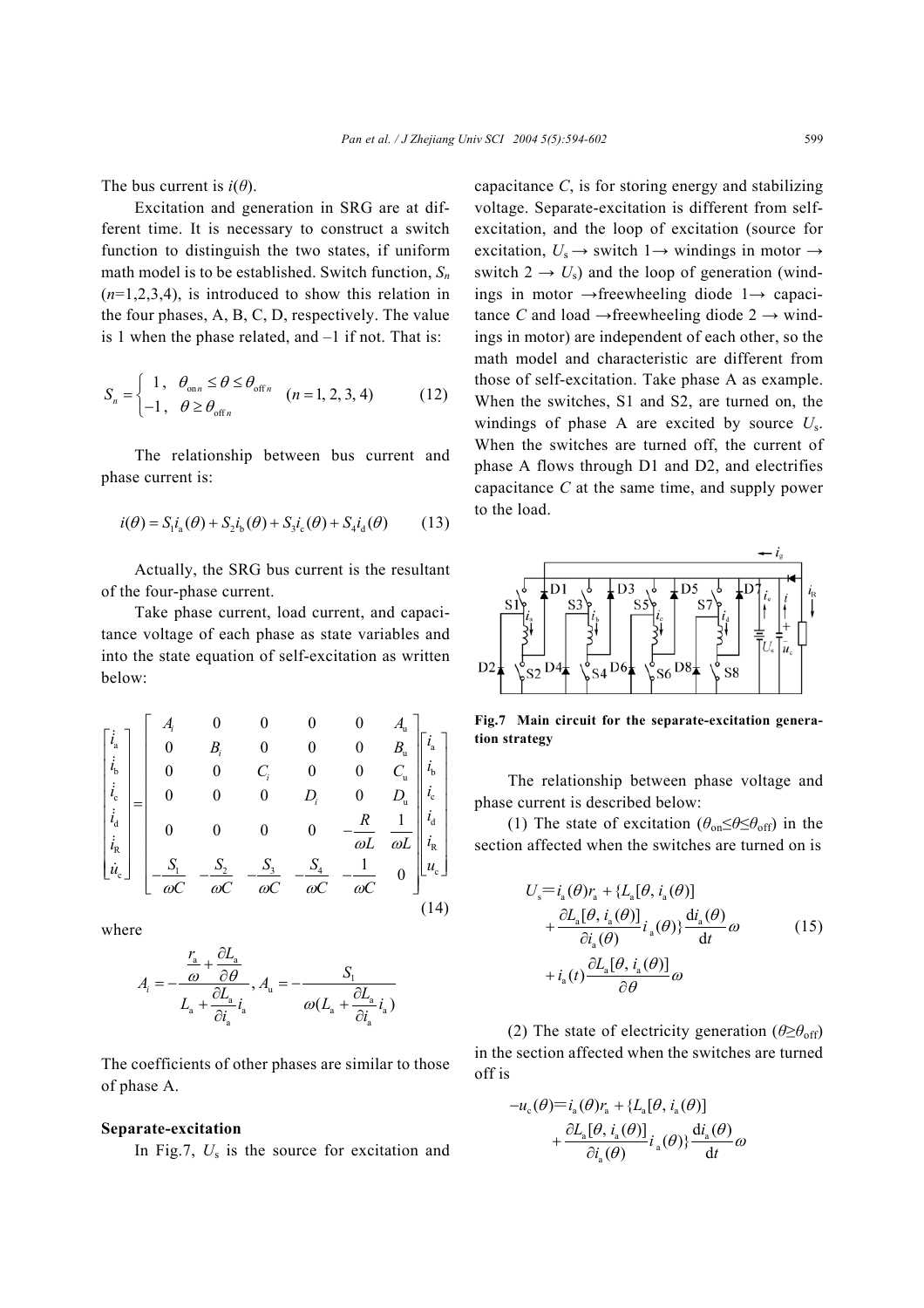The bus current is  $i(\theta)$ .

Excitation and generation in SRG are at different time. It is necessary to construct a switch function to distinguish the two states, if uniform math model is to be established. Switch function, *Sn* (*n*=1,2,3,4), is introduced to show this relation in the four phases, A, B, C, D, respectively. The value is 1 when the phase related, and  $-1$  if not. That is:

$$
S_n = \begin{cases} 1, & \theta_{\text{on}n} \le \theta \le \theta_{\text{off}n} \\ -1, & \theta \ge \theta_{\text{off}n} \end{cases} \quad (n = 1, 2, 3, 4) \tag{12}
$$

The relationship between bus current and phase current is:

$$
i(\theta) = S_1 i_a(\theta) + S_2 i_b(\theta) + S_3 i_c(\theta) + S_4 i_d(\theta)
$$
 (13)

Actually, the SRG bus current is the resultant of the four-phase current.

Take phase current, load current, and capacitance voltage of each phase as state variables and into the state equation of self-excitation as written below:

$$
\begin{bmatrix} \dot{i}_{a} \\ \dot{i}_{b} \\ \dot{i}_{c} \\ \dot{i}_{d} \\ \dot{u}_{c} \end{bmatrix} = \begin{bmatrix} A_{i} & 0 & 0 & 0 & 0 & A_{u} \\ 0 & B_{i} & 0 & 0 & 0 & B_{u} \\ 0 & 0 & C_{i} & 0 & 0 & C_{u} \\ 0 & 0 & 0 & D_{i} & 0 & D_{u} \\ 0 & 0 & 0 & 0 & -\frac{R}{\omega L} & \frac{1}{\omega L} \\ \frac{1}{\omega_{c}} & \frac{S_{1}}{\omega C} & -\frac{S_{2}}{\omega C} & -\frac{S_{3}}{\omega C} & -\frac{S_{4}}{\omega C} & -\frac{1}{\omega C} & 0 \end{bmatrix} \begin{bmatrix} \dot{i}_{a} \\ \dot{i}_{b} \\ \dot{i}_{c} \\ \dot{i}_{d} \\ \dot{u}_{c} \end{bmatrix}
$$

where

$$
A_i = -\frac{\frac{r_a}{\omega} + \frac{\partial L_a}{\partial \theta}}{L_a + \frac{\partial L_a}{\partial i_a} i_a}, A_u = -\frac{S_i}{\omega (L_a + \frac{\partial L_a}{\partial i_a} i_a)}
$$

The coefficients of other phases are similar to those of phase A.

### **Separate-excitation**

In Fig.7,  $U_s$  is the source for excitation and

capacitance *C*, is for storing energy and stabilizing voltage. Separate-excitation is different from selfexcitation, and the loop of excitation (source for excitation,  $U_s \rightarrow$  switch 1 $\rightarrow$  windings in motor  $\rightarrow$ switch  $2 \rightarrow U_s$ ) and the loop of generation (windings in motor →freewheeling diode 1→ capacitance *C* and load  $\rightarrow$  freewheeling diode 2  $\rightarrow$  windings in motor) are independent of each other, so the math model and characteristic are different from those of self-excitation. Take phase A as example. When the switches, S1 and S2, are turned on, the windings of phase A are excited by source *U*s. When the switches are turned off, the current of phase A flows through D1 and D2, and electrifies capacitance *C* at the same time, and supply power to the load.



**Fig.7 Main circuit for the separate-excitation generation strategy** 

The relationship between phase voltage and phase current is described below:

(1) The state of excitation ( $\theta_{on} \leq \theta \leq \theta_{off}$ ) in the section affected when the switches are turned on is

$$
U_{s} = i_{a}(\theta)r_{a} + \{L_{a}[\theta, i_{a}(\theta)]+ \frac{\partial L_{a}[\theta, i_{a}(\theta)]}{\partial i_{a}(\theta)}i_{a}(\theta)\} \frac{di_{a}(\theta)}{dt}\omega
$$
\n
$$
+ i_{a}(t) \frac{\partial L_{a}[\theta, i_{a}(\theta)]}{\partial \theta}\omega
$$
\n(15)

(2) The state of electricity generation ( $\theta \geq \theta_{\rm off}$ ) in the section affected when the switches are turned off is

c aa aa aa a a a ( ) ( ) { [ , ( )] [ , ( )] d ( ) ( )} () d *u irLi Li i i i t* θ θ θθ θθ <sup>θ</sup> <sup>θ</sup> <sup>ω</sup> θ − + ∂ + ∂ =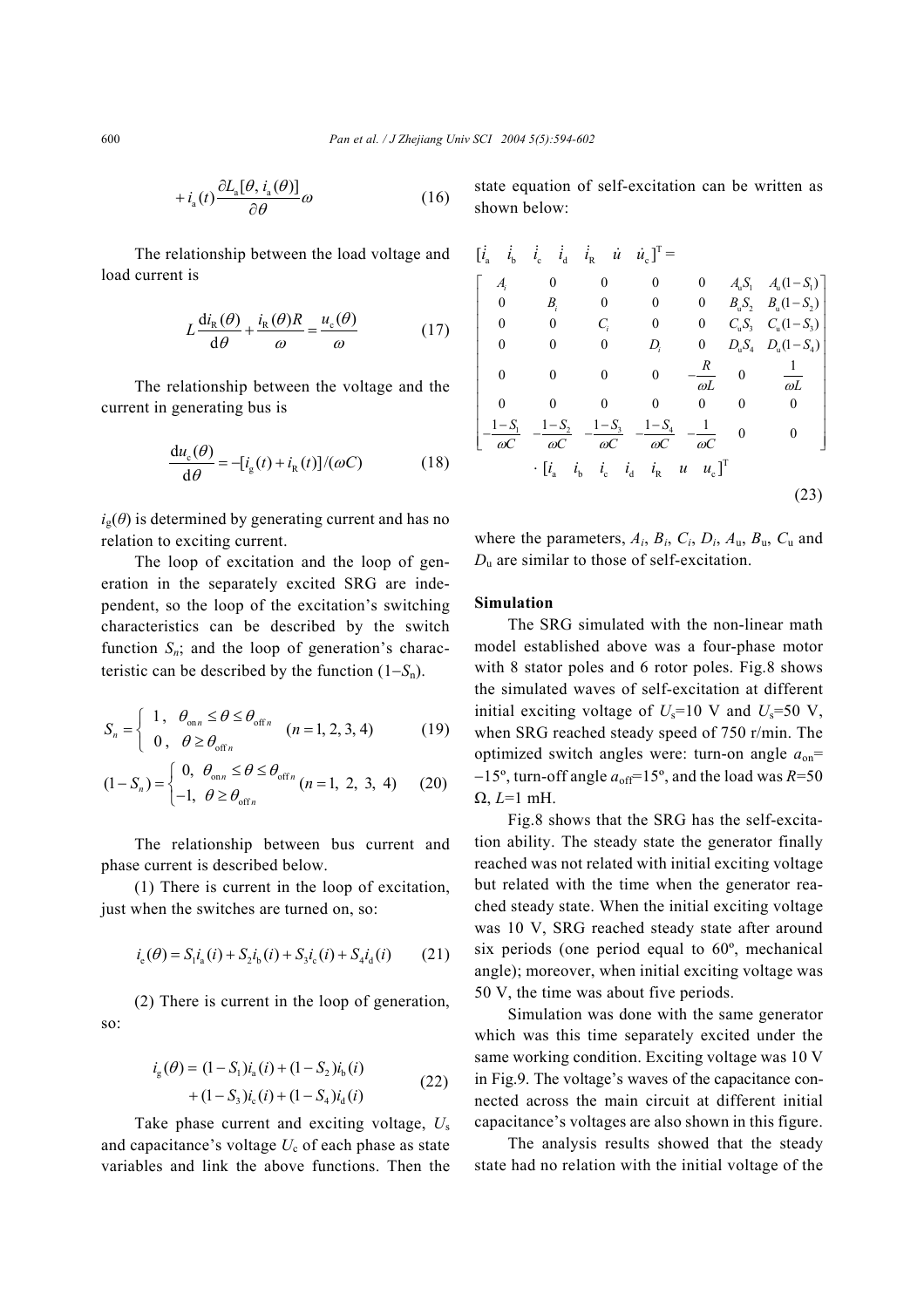$$
+i_{a}(t)\frac{\partial L_{a}[\theta,i_{a}(\theta)]}{\partial \theta}\omega\tag{16}
$$

The relationship between the load voltage and load current is

$$
L\frac{di_{R}(\theta)}{d\theta} + \frac{i_{R}(\theta)R}{\omega} = \frac{u_{c}(\theta)}{\omega}
$$
 (17)

The relationship between the voltage and the current in generating bus is

$$
\frac{du_c(\theta)}{d\theta} = -[i_g(t) + i_g(t)]/(\omega C)
$$
 (18)

 $i_{g}(\theta)$  is determined by generating current and has no relation to exciting current.

The loop of excitation and the loop of generation in the separately excited SRG are independent, so the loop of the excitation's switching characteristics can be described by the switch function  $S_n$ ; and the loop of generation's characteristic can be described by the function (1−*S*n).

$$
S_n = \begin{cases} 1, & \theta_{\text{on}n} \le \theta \le \theta_{\text{off}n} \\ 0, & \theta \ge \theta_{\text{off}n} \end{cases} \quad (n = 1, 2, 3, 4) \tag{19}
$$

$$
(1 - S_n) = \begin{cases} 0, & \theta_{\text{on}n} \le \theta \le \theta_{\text{off}n} \\ -1, & \theta \ge \theta_{\text{off}n} \end{cases} (n = 1, 2, 3, 4) \tag{20}
$$

The relationship between bus current and phase current is described below.

(1) There is current in the loop of excitation, just when the switches are turned on, so:

$$
i_{e}(\theta) = S_{1}i_{a}(i) + S_{2}i_{b}(i) + S_{3}i_{c}(i) + S_{4}i_{d}(i)
$$
 (21)

(2) There is current in the loop of generation, so:

$$
i_{g}(\theta) = (1 - S_{1})i_{a}(i) + (1 - S_{2})i_{b}(i)
$$
  
+ (1 - S\_{3})i\_{c}(i) + (1 - S\_{4})i\_{d}(i) (22)

Take phase current and exciting voltage, *U*<sup>s</sup> and capacitance's voltage  $U_c$  of each phase as state variables and link the above functions. Then the state equation of self-excitation can be written as shown below:

$$
\begin{bmatrix}\n\dot{i}_a & \dot{i}_b & \dot{i}_c & \dot{i}_d & \dot{i}_R & \dot{u} & \dot{u}_c\n\end{bmatrix}^T =\n\begin{bmatrix}\nA_i & 0 & 0 & 0 & 0 & A_uS_1 & A_u(1-S_1) \\
0 & B_i & 0 & 0 & 0 & B_uS_2 & B_u(1-S_2) \\
0 & 0 & C_i & 0 & 0 & C_uS_3 & C_u(1-S_3) \\
0 & 0 & 0 & D_i & 0 & D_uS_4 & D_u(1-S_4) \\
0 & 0 & 0 & 0 & -\frac{R}{\omega L} & 0 & \frac{1}{\omega L} \\
0 & 0 & 0 & 0 & 0 & 0 & 0 \\
-\frac{1-S_1}{\omega C} & -\frac{1-S_2}{\omega C} & -\frac{1-S_3}{\omega C} & -\frac{1-S_4}{\omega C} & -\frac{1}{\omega C} & 0 & 0\n\end{bmatrix}
$$
\n
$$
\begin{bmatrix}\n\dot{i}_a & \dot{i}_b & \dot{i}_c & \dot{i}_d & \dot{i}_R & \dot{u} & \dot{u}_c\n\end{bmatrix}^T
$$
\n(23)

where the parameters,  $A_i$ ,  $B_i$ ,  $C_i$ ,  $D_i$ ,  $A_u$ ,  $B_u$ ,  $C_u$  and *D*u are similar to those of self-excitation.

## **Simulation**

The SRG simulated with the non-linear math model established above was a four-phase motor with 8 stator poles and 6 rotor poles. Fig.8 shows the simulated waves of self-excitation at different initial exciting voltage of  $U_s$ =10 V and  $U_s$ =50 V, when SRG reached steady speed of 750 r/min. The optimized switch angles were: turn-on angle *a*on=  $-15^\circ$ , turn-off angle  $a_{\text{off}}$ =15°, and the load was *R*=50 Ω, *L*=1 mH.

Fig.8 shows that the SRG has the self-excitation ability. The steady state the generator finally reached was not related with initial exciting voltage but related with the time when the generator reached steady state. When the initial exciting voltage was 10 V, SRG reached steady state after around six periods (one period equal to 60º, mechanical angle); moreover, when initial exciting voltage was 50 V, the time was about five periods.

Simulation was done with the same generator which was this time separately excited under the same working condition. Exciting voltage was 10 V in Fig.9. The voltage's waves of the capacitance connected across the main circuit at different initial capacitance's voltages are also shown in this figure.

The analysis results showed that the steady state had no relation with the initial voltage of the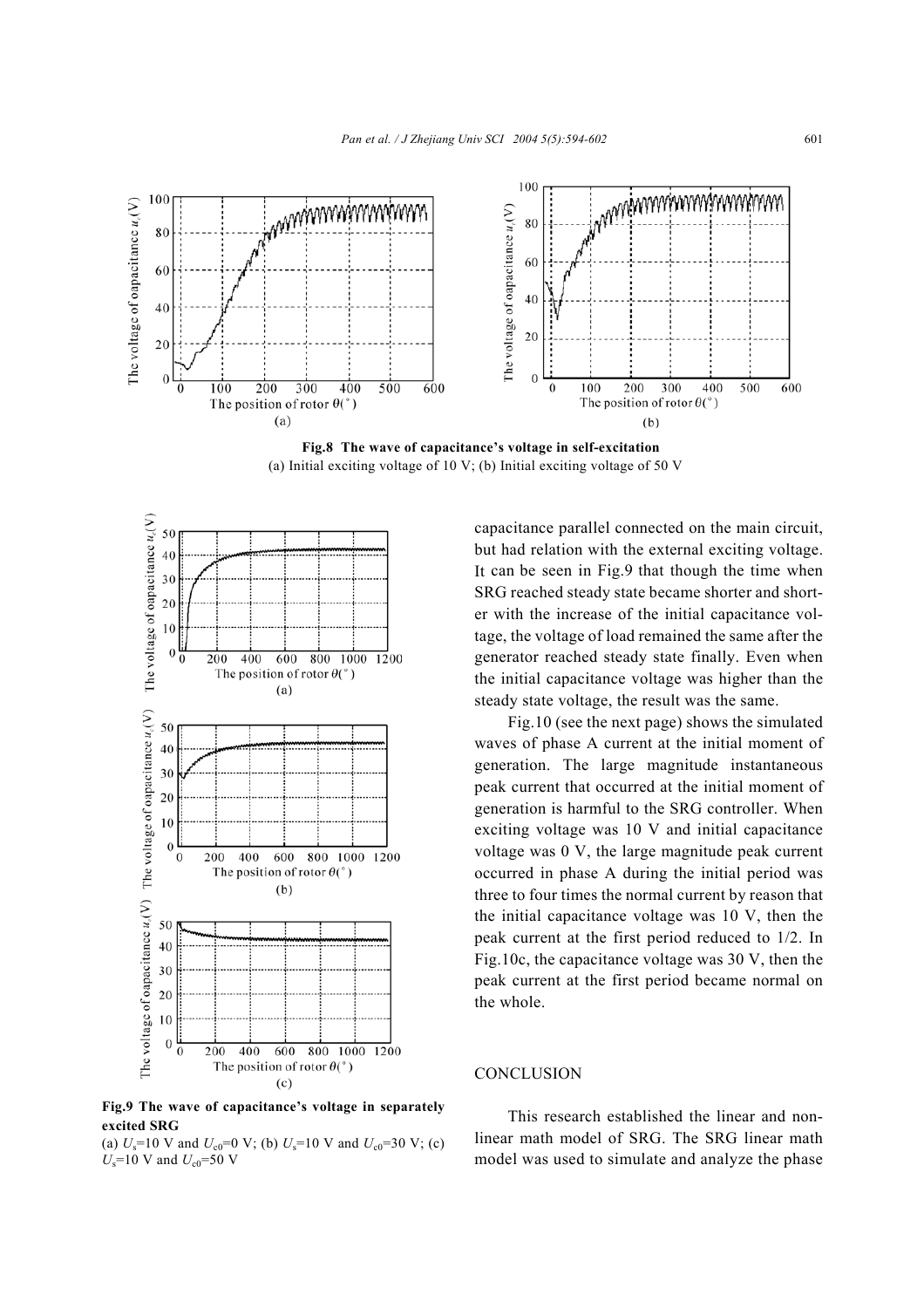

**Fig.8 The wave of capacitance's voltage in self-excitation**  (a) Initial exciting voltage of 10 V; (b) Initial exciting voltage of 50 V



**Fig.9 The wave of capacitance's voltage in separately excited SRG** 

(a)  $U_s$ =10 V and  $U_{c0}$ =0 V; (b)  $U_s$ =10 V and  $U_{c0}$ =30 V; (c)  $U_s$ =10 V and  $U_{c0}$ =50 V

capacitance parallel connected on the main circuit, but had relation with the external exciting voltage. It can be seen in Fig.9 that though the time when SRG reached steady state became shorter and shorter with the increase of the initial capacitance voltage, the voltage of load remained the same after the generator reached steady state finally. Even when the initial capacitance voltage was higher than the steady state voltage, the result was the same.

Fig.10 (see the next page) shows the simulated waves of phase A current at the initial moment of generation. The large magnitude instantaneous peak current that occurred at the initial moment of generation is harmful to the SRG controller. When exciting voltage was 10 V and initial capacitance voltage was 0 V, the large magnitude peak current occurred in phase A during the initial period was three to four times the normal current by reason that the initial capacitance voltage was 10 V, then the peak current at the first period reduced to 1/2. In Fig.10c, the capacitance voltage was 30 V, then the peak current at the first period became normal on the whole.

# **CONCLUSION**

This research established the linear and nonlinear math model of SRG. The SRG linear math model was used to simulate and analyze the phase